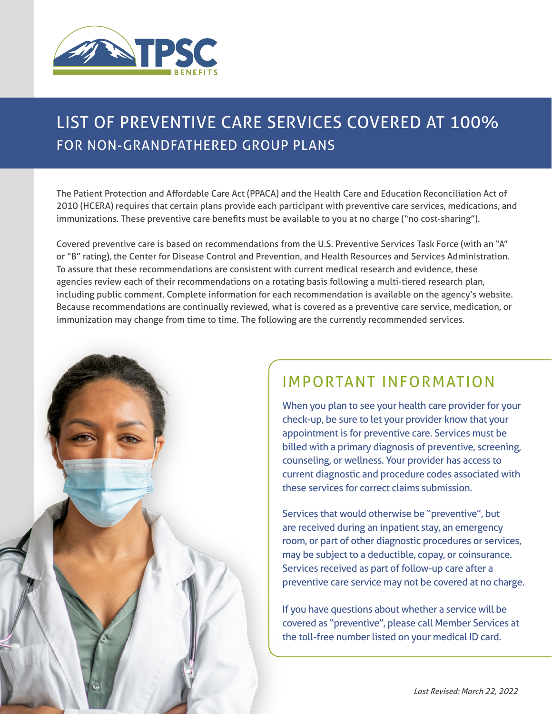

## LIST OF PREVENTIVE CARE SERVICES COVERED AT 100% FOR NON-GRANDFATHERED GROUP PLANS

The Patient Protection and Affordable Care Act (PPACA) and the Health Care and Education Reconciliation Act of 2010 (HCERA) requires that certain plans provide each participant with preventive care services, medications, and immunizations. These preventive care benefits must be available to you at no charge ("no cost-sharing").

Covered preventive care is based on recommendations from the U.S. Preventive Services Task Force (with an "A" or "B" rating), the Center for Disease Control and Prevention, and Health Resources and Services Administration. To assure that these recommendations are consistent with current medical research and evidence, these agencies review each of their recommendations on a rotating basis following a multi-tiered research plan, including public comment. Complete information for each recommendation is available on the agency's website. Because recommendations are continually reviewed, what is covered as a preventive care service, medication, or immunization may change from time to time. The following are the currently recommended services.



When you plan to see your health care provider for your check-up, be sure to let your provider know that your appointment is for preventive care. Services must be billed with a primary diagnosis of preventive, screening, counseling, or wellness. Your provider has access to current diagnostic and procedure codes associated with these services for correct claims submission.

Services that would otherwise be "preventive", but are received during an inpatient stay, an emergency room, or part of other diagnostic procedures or services, may be subject to a deductible, copay, or coinsurance. Services received as part of follow-up care after a preventive care service may not be covered at no charge.

If you have questions about whether a service will be covered as "preventive", please call Member Services at the toll-free number listed on your medical ID card.

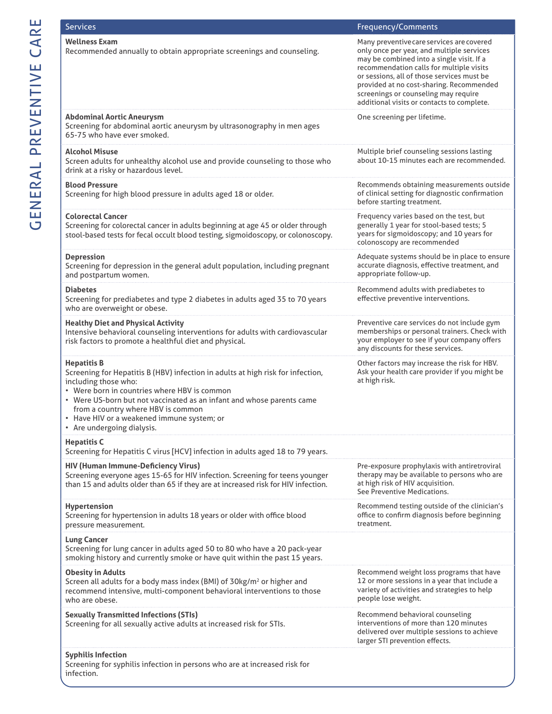| <b>Services</b>                                                                                                                                                                                                                                                                                                                                                        | <b>Frequency/Comments</b>                                                                                                                                                                                                                                                                                                                                       |
|------------------------------------------------------------------------------------------------------------------------------------------------------------------------------------------------------------------------------------------------------------------------------------------------------------------------------------------------------------------------|-----------------------------------------------------------------------------------------------------------------------------------------------------------------------------------------------------------------------------------------------------------------------------------------------------------------------------------------------------------------|
| <b>Wellness Exam</b><br>Recommended annually to obtain appropriate screenings and counseling.                                                                                                                                                                                                                                                                          | Many preventive care services are covered<br>only once per year, and multiple services<br>may be combined into a single visit. If a<br>recommendation calls for multiple visits<br>or sessions, all of those services must be<br>provided at no cost-sharing. Recommended<br>screenings or counseling may require<br>additional visits or contacts to complete. |
| <b>Abdominal Aortic Aneurysm</b><br>Screening for abdominal aortic aneurysm by ultrasonography in men ages<br>65-75 who have ever smoked.                                                                                                                                                                                                                              | One screening per lifetime.                                                                                                                                                                                                                                                                                                                                     |
| <b>Alcohol Misuse</b><br>Screen adults for unhealthy alcohol use and provide counseling to those who<br>drink at a risky or hazardous level.                                                                                                                                                                                                                           | Multiple brief counseling sessions lasting<br>about 10-15 minutes each are recommended.                                                                                                                                                                                                                                                                         |
| <b>Blood Pressure</b><br>Screening for high blood pressure in adults aged 18 or older.                                                                                                                                                                                                                                                                                 | Recommends obtaining measurements outside<br>of clinical setting for diagnostic confirmation<br>before starting treatment.                                                                                                                                                                                                                                      |
| <b>Colorectal Cancer</b><br>Screening for colorectal cancer in adults beginning at age 45 or older through<br>stool-based tests for fecal occult blood testing, sigmoidoscopy, or colonoscopy.                                                                                                                                                                         | Frequency varies based on the test, but<br>generally 1 year for stool-based tests; 5<br>years for sigmoidoscopy; and 10 years for<br>colonoscopy are recommended                                                                                                                                                                                                |
| <b>Depression</b><br>Screening for depression in the general adult population, including pregnant<br>and postpartum women.                                                                                                                                                                                                                                             | Adequate systems should be in place to ensure<br>accurate diagnosis, effective treatment, and<br>appropriate follow-up.                                                                                                                                                                                                                                         |
| <b>Diabetes</b><br>Screening for prediabetes and type 2 diabetes in adults aged 35 to 70 years<br>who are overweight or obese.                                                                                                                                                                                                                                         | Recommend adults with prediabetes to<br>effective preventive interventions.                                                                                                                                                                                                                                                                                     |
| <b>Healthy Diet and Physical Activity</b><br>Intensive behavioral counseling interventions for adults with cardiovascular<br>risk factors to promote a healthful diet and physical.                                                                                                                                                                                    | Preventive care services do not include gym<br>memberships or personal trainers. Check with<br>your employer to see if your company offers<br>any discounts for these services.                                                                                                                                                                                 |
| <b>Hepatitis B</b><br>Screening for Hepatitis B (HBV) infection in adults at high risk for infection,<br>including those who:<br>• Were born in countries where HBV is common<br>• Were US-born but not vaccinated as an infant and whose parents came<br>from a country where HBV is common<br>Have HIV or a weakened immune system; or<br>• Are undergoing dialysis. | Other factors may increase the risk for HBV.<br>Ask your health care provider if you might be<br>at high risk.                                                                                                                                                                                                                                                  |
| <b>Hepatitis C</b><br>Screening for Hepatitis C virus [HCV] infection in adults aged 18 to 79 years.                                                                                                                                                                                                                                                                   |                                                                                                                                                                                                                                                                                                                                                                 |
| HIV (Human Immune-Deficiency Virus)<br>Screening everyone ages 15-65 for HIV infection. Screening for teens younger<br>than 15 and adults older than 65 if they are at increased risk for HIV infection.                                                                                                                                                               | Pre-exposure prophylaxis with antiretroviral<br>therapy may be available to persons who are<br>at high risk of HIV acquisition.<br>See Preventive Medications.                                                                                                                                                                                                  |
| Hypertension<br>Screening for hypertension in adults 18 years or older with office blood<br>pressure measurement.                                                                                                                                                                                                                                                      | Recommend testing outside of the clinician's<br>office to confirm diagnosis before beginning<br>treatment.                                                                                                                                                                                                                                                      |
| <b>Lung Cancer</b><br>Screening for lung cancer in adults aged 50 to 80 who have a 20 pack-year<br>smoking history and currently smoke or have quit within the past 15 years.                                                                                                                                                                                          |                                                                                                                                                                                                                                                                                                                                                                 |
| <b>Obesity in Adults</b><br>Screen all adults for a body mass index (BMI) of 30kg/m <sup>2</sup> or higher and<br>recommend intensive, multi-component behavioral interventions to those<br>who are obese.                                                                                                                                                             | Recommend weight loss programs that have<br>12 or more sessions in a year that include a<br>variety of activities and strategies to help<br>people lose weight.                                                                                                                                                                                                 |
| <b>Sexually Transmitted Infections (STIs)</b><br>Screening for all sexually active adults at increased risk for STIs.                                                                                                                                                                                                                                                  | Recommend behavioral counseling<br>interventions of more than 120 minutes<br>delivered over multiple sessions to achieve<br>larger STI prevention effects.                                                                                                                                                                                                      |
| <b>Syphilis Infection</b><br>Screening for syphilis infection in persons who are at increased risk for<br>infection.                                                                                                                                                                                                                                                   |                                                                                                                                                                                                                                                                                                                                                                 |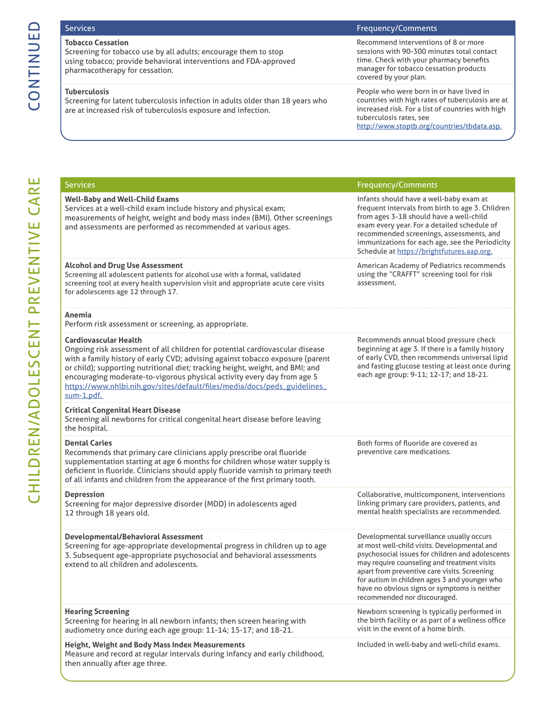## CONTINUED CONTINUED

## **Tobacco Cessation**

Screening for tobacco use by all adults; encourage them to stop using tobacco; provide behavioral interventions and FDA-approved pharmacotherapy for cessation.

### **Tuberculosis**

Screening for latent tuberculosis infection in adults older than 18 years who are at increased risk of tuberculosis exposure and infection.

### Services Frequency/Comments

Recommend interventions of 8 or more sessions with 90-300 minutes total contact time. Check with your pharmacy benefits manager for tobacco cessation products covered by your plan.

People who were born in or have lived in countries with high rates of tuberculosis are at increased risk. For a list of countries with high tuberculosis rates, see http://www.stoptb.org/countries/tbdata.asp.

| <b>Services</b>                                                                                                                                                                                                                                                                                                                                                                                                                                      | <b>Frequency/Comments</b>                                                                                                                                                                                                                                                                                                                                                     |
|------------------------------------------------------------------------------------------------------------------------------------------------------------------------------------------------------------------------------------------------------------------------------------------------------------------------------------------------------------------------------------------------------------------------------------------------------|-------------------------------------------------------------------------------------------------------------------------------------------------------------------------------------------------------------------------------------------------------------------------------------------------------------------------------------------------------------------------------|
| <b>Well-Baby and Well-Child Exams</b><br>Services at a well-child exam include history and physical exam;<br>measurements of height, weight and body mass index (BMI). Other screenings<br>and assessments are performed as recommended at various ages.                                                                                                                                                                                             | Infants should have a well-baby exam at<br>frequent intervals from birth to age 3. Children<br>from ages 3-18 should have a well-child<br>exam every year. For a detailed schedule of<br>recommended screenings, assessments, and<br>immunizations for each age, see the Periodicity<br>Schedule at https://brightfutures.aap.org.                                            |
| <b>Alcohol and Drug Use Assessment</b><br>Screening all adolescent patients for alcohol use with a formal, validated<br>screening tool at every health supervision visit and appropriate acute care visits<br>for adolescents age 12 through 17.                                                                                                                                                                                                     | American Academy of Pediatrics recommends<br>using the "CRAFFT" screening tool for risk<br>assessment.                                                                                                                                                                                                                                                                        |
| Anemia<br>Perform risk assessment or screening, as appropriate.                                                                                                                                                                                                                                                                                                                                                                                      |                                                                                                                                                                                                                                                                                                                                                                               |
| <b>Cardiovascular Health</b><br>Ongoing risk assessment of all children for potential cardiovascular disease<br>with a family history of early CVD; advising against tobacco exposure (parent<br>or child); supporting nutritional diet; tracking height, weight, and BMI; and<br>encouraging moderate-to-vigorous physical activity every day from age 5<br>https://www.nhlbi.nih.gov/sites/default/files/media/docs/peds_guidelines_<br>sum-1.pdf. | Recommends annual blood pressure check<br>beginning at age 3. If there is a family history<br>of early CVD, then recommends universal lipid<br>and fasting glucose testing at least once during<br>each age group: 9-11; 12-17; and 18-21.                                                                                                                                    |
| <b>Critical Congenital Heart Disease</b><br>Screening all newborns for critical congenital heart disease before leaving<br>the hospital.                                                                                                                                                                                                                                                                                                             |                                                                                                                                                                                                                                                                                                                                                                               |
| <b>Dental Caries</b><br>Recommends that primary care clinicians apply prescribe oral fluoride<br>supplementation starting at age 6 months for children whose water supply is<br>deficient in fluoride. Clinicians should apply fluoride varnish to primary teeth<br>of all infants and children from the appearance of the first primary tooth.                                                                                                      | Both forms of fluoride are covered as<br>preventive care medications.                                                                                                                                                                                                                                                                                                         |
| <b>Depression</b><br>Screening for major depressive disorder (MDD) in adolescents aged<br>12 through 18 years old.                                                                                                                                                                                                                                                                                                                                   | Collaborative, multicomponent, interventions<br>linking primary care providers, patients, and<br>mental health specialists are recommended.                                                                                                                                                                                                                                   |
| Developmental/Behavioral Assessment<br>Screening for age-appropriate developmental progress in children up to age<br>3. Subsequent age-appropriate psychosocial and behavioral assessments<br>extend to all children and adolescents.                                                                                                                                                                                                                | Developmental surveillance usually occurs<br>at most well-child visits. Developmental and<br>psychosocial issues for children and adolescents<br>may require counseling and treatment visits<br>apart from preventive care visits. Screening<br>for autism in children ages 3 and younger who<br>have no obvious signs or symptoms is neither<br>recommended nor discouraged. |
| <b>Hearing Screening</b><br>Screening for hearing in all newborn infants; then screen hearing with<br>audiometry once during each age group: 11-14; 15-17; and 18-21.                                                                                                                                                                                                                                                                                | Newborn screening is typically performed in<br>the birth facility or as part of a wellness office<br>visit in the event of a home birth.                                                                                                                                                                                                                                      |
| Height, Weight and Body Mass Index Measurements<br>Measure and record at regular intervals during infancy and early childhood,<br>then annually after age three.                                                                                                                                                                                                                                                                                     | Included in well-baby and well-child exams.                                                                                                                                                                                                                                                                                                                                   |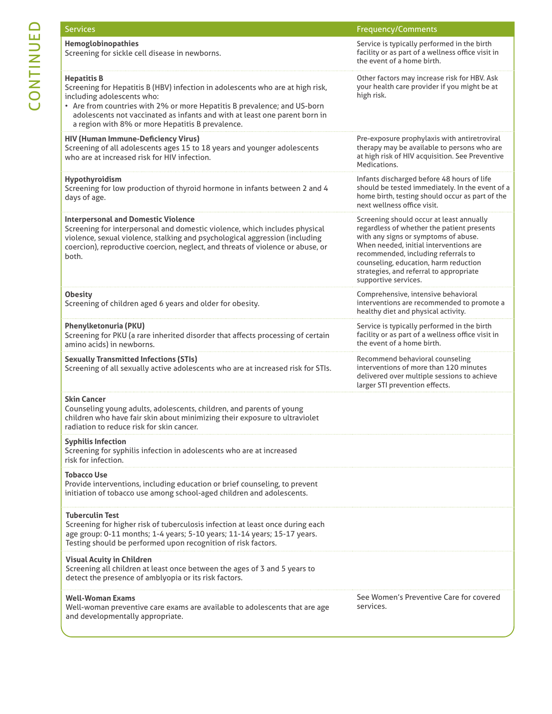| <b>Services</b>                                                                                                                                                                                                                                                                                                                                  | <b>Frequency/Comments</b>                                                                                                                                                                                                                                                                                                   |
|--------------------------------------------------------------------------------------------------------------------------------------------------------------------------------------------------------------------------------------------------------------------------------------------------------------------------------------------------|-----------------------------------------------------------------------------------------------------------------------------------------------------------------------------------------------------------------------------------------------------------------------------------------------------------------------------|
| Hemoglobinopathies<br>Screening for sickle cell disease in newborns.                                                                                                                                                                                                                                                                             | Service is typically performed in the birth<br>facility or as part of a wellness office visit in<br>the event of a home birth.                                                                                                                                                                                              |
| <b>Hepatitis B</b><br>Screening for Hepatitis B (HBV) infection in adolescents who are at high risk,<br>including adolescents who:<br>• Are from countries with 2% or more Hepatitis B prevalence; and US-born<br>adolescents not vaccinated as infants and with at least one parent born in<br>a region with 8% or more Hepatitis B prevalence. | Other factors may increase risk for HBV. Ask<br>your health care provider if you might be at<br>high risk.                                                                                                                                                                                                                  |
| <b>HIV (Human Immune-Deficiency Virus)</b><br>Screening of all adolescents ages 15 to 18 years and younger adolescents<br>who are at increased risk for HIV infection.                                                                                                                                                                           | Pre-exposure prophylaxis with antiretroviral<br>therapy may be available to persons who are<br>at high risk of HIV acquisition. See Preventive<br>Medications.                                                                                                                                                              |
| Hypothyroidism<br>Screening for low production of thyroid hormone in infants between 2 and 4<br>days of age.                                                                                                                                                                                                                                     | Infants discharged before 48 hours of life<br>should be tested immediately. In the event of a<br>home birth, testing should occur as part of the<br>next wellness office visit.                                                                                                                                             |
| <b>Interpersonal and Domestic Violence</b><br>Screening for interpersonal and domestic violence, which includes physical<br>violence, sexual violence, stalking and psychological aggression (including<br>coercion), reproductive coercion, neglect, and threats of violence or abuse, or<br>both.                                              | Screening should occur at least annually<br>regardless of whether the patient presents<br>with any signs or symptoms of abuse.<br>When needed, initial interventions are<br>recommended, including referrals to<br>counseling, education, harm reduction<br>strategies, and referral to appropriate<br>supportive services. |
| <b>Obesity</b><br>Screening of children aged 6 years and older for obesity.                                                                                                                                                                                                                                                                      | Comprehensive, intensive behavioral<br>interventions are recommended to promote a<br>healthy diet and physical activity.                                                                                                                                                                                                    |
| <b>Phenylketonuria (PKU)</b><br>Screening for PKU (a rare inherited disorder that affects processing of certain<br>amino acids) in newborns.                                                                                                                                                                                                     | Service is typically performed in the birth<br>facility or as part of a wellness office visit in<br>the event of a home birth.                                                                                                                                                                                              |
| <b>Sexually Transmitted Infections (STIs)</b><br>Screening of all sexually active adolescents who are at increased risk for STIs.                                                                                                                                                                                                                | Recommend behavioral counseling<br>interventions of more than 120 minutes<br>delivered over multiple sessions to achieve<br>larger STI prevention effects.                                                                                                                                                                  |
| <b>Skin Cancer</b><br>Counseling young adults, adolescents, children, and parents of young<br>children who have fair skin about minimizing their exposure to ultraviolet<br>radiation to reduce risk for skin cancer.                                                                                                                            |                                                                                                                                                                                                                                                                                                                             |
| <b>Syphilis Infection</b><br>Screening for syphilis infection in adolescents who are at increased<br>risk for infection.                                                                                                                                                                                                                         |                                                                                                                                                                                                                                                                                                                             |
| <b>Tobacco Use</b><br>Provide interventions, including education or brief counseling, to prevent<br>initiation of tobacco use among school-aged children and adolescents.                                                                                                                                                                        |                                                                                                                                                                                                                                                                                                                             |
| <b>Tuberculin Test</b><br>Screening for higher risk of tuberculosis infection at least once during each<br>age group: 0-11 months; 1-4 years; 5-10 years; 11-14 years; 15-17 years.<br>Testing should be performed upon recognition of risk factors.                                                                                             |                                                                                                                                                                                                                                                                                                                             |
| <b>Visual Acuity in Children</b><br>Screening all children at least once between the ages of 3 and 5 years to<br>detect the presence of amblyopia or its risk factors.                                                                                                                                                                           |                                                                                                                                                                                                                                                                                                                             |
| <b>Well-Woman Exams</b><br>Well-woman preventive care exams are available to adolescents that are age<br>and developmentally appropriate.                                                                                                                                                                                                        | See Women's Preventive Care for covered<br>services.                                                                                                                                                                                                                                                                        |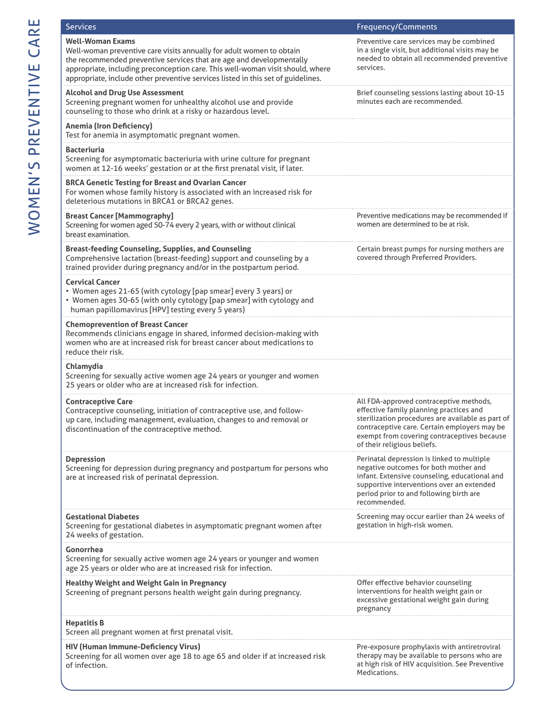| <b>Services</b>                                                                                                                                                                                                                                                                                                                               | <b>Frequency/Comments</b>                                                                                                                                                                                                                                             |
|-----------------------------------------------------------------------------------------------------------------------------------------------------------------------------------------------------------------------------------------------------------------------------------------------------------------------------------------------|-----------------------------------------------------------------------------------------------------------------------------------------------------------------------------------------------------------------------------------------------------------------------|
| <b>Well-Woman Exams</b><br>Well-woman preventive care visits annually for adult women to obtain<br>the recommended preventive services that are age and developmentally<br>appropriate, including preconception care. This well-woman visit should, where<br>appropriate, include other preventive services listed in this set of guidelines. | Preventive care services may be combined<br>in a single visit, but additional visits may be<br>needed to obtain all recommended preventive<br>services.                                                                                                               |
| <b>Alcohol and Drug Use Assessment</b><br>Screening pregnant women for unhealthy alcohol use and provide<br>counseling to those who drink at a risky or hazardous level.                                                                                                                                                                      | Brief counseling sessions lasting about 10-15<br>minutes each are recommended.                                                                                                                                                                                        |
| <b>Anemia (Iron Deficiency)</b><br>Test for anemia in asymptomatic pregnant women.                                                                                                                                                                                                                                                            |                                                                                                                                                                                                                                                                       |
| <b>Bacteriuria</b><br>Screening for asymptomatic bacteriuria with urine culture for pregnant<br>women at 12-16 weeks' gestation or at the first prenatal visit, if later.                                                                                                                                                                     |                                                                                                                                                                                                                                                                       |
| <b>BRCA Genetic Testing for Breast and Ovarian Cancer</b><br>For women whose family history is associated with an increased risk for<br>deleterious mutations in BRCA1 or BRCA2 genes.                                                                                                                                                        |                                                                                                                                                                                                                                                                       |
| <b>Breast Cancer [Mammography]</b><br>Screening for women aged 50-74 every 2 years, with or without clinical<br>breast examination.                                                                                                                                                                                                           | Preventive medications may be recommended if<br>women are determined to be at risk.                                                                                                                                                                                   |
| <b>Breast-feeding Counseling, Supplies, and Counseling</b><br>Comprehensive lactation (breast-feeding) support and counseling by a<br>trained provider during pregnancy and/or in the postpartum period.                                                                                                                                      | Certain breast pumps for nursing mothers are<br>covered through Preferred Providers.                                                                                                                                                                                  |
| <b>Cervical Cancer</b><br>• Women ages 21-65 (with cytology [pap smear] every 3 years) or<br>• Women ages 30-65 (with only cytology [pap smear] with cytology and<br>human papillomavirus [HPV] testing every 5 years)                                                                                                                        |                                                                                                                                                                                                                                                                       |
| <b>Chemoprevention of Breast Cancer</b><br>Recommends clinicians engage in shared, informed decision-making with<br>women who are at increased risk for breast cancer about medications to<br>reduce their risk.                                                                                                                              |                                                                                                                                                                                                                                                                       |
| Chlamydia<br>Screening for sexually active women age 24 years or younger and women<br>25 years or older who are at increased risk for infection.                                                                                                                                                                                              |                                                                                                                                                                                                                                                                       |
| <b>Contraceptive Care</b><br>Contraceptive counseling, initiation of contraceptive use, and follow-<br>up care, including management, evaluation, changes to and removal or<br>discontinuation of the contraceptive method.                                                                                                                   | All FDA-approved contraceptive methods,<br>effective family planning practices and<br>sterilization procedures are available as part of<br>contraceptive care. Certain employers may be<br>exempt from covering contraceptives because<br>of their religious beliefs. |
| <b>Depression</b><br>Screening for depression during pregnancy and postpartum for persons who<br>are at increased risk of perinatal depression.                                                                                                                                                                                               | Perinatal depression is linked to multiple<br>negative outcomes for both mother and<br>infant. Extensive counseling, educational and<br>supportive interventions over an extended<br>period prior to and following birth are<br>recommended.                          |
| <b>Gestational Diabetes</b><br>Screening for gestational diabetes in asymptomatic pregnant women after<br>24 weeks of gestation.                                                                                                                                                                                                              | Screening may occur earlier than 24 weeks of<br>gestation in high-risk women.                                                                                                                                                                                         |
| Gonorrhea<br>Screening for sexually active women age 24 years or younger and women<br>age 25 years or older who are at increased risk for infection.                                                                                                                                                                                          |                                                                                                                                                                                                                                                                       |
| <b>Healthy Weight and Weight Gain in Pregnancy</b><br>Screening of pregnant persons health weight gain during pregnancy.                                                                                                                                                                                                                      | Offer effective behavior counseling<br>interventions for health weight gain or<br>excessive gestational weight gain during<br>pregnancy                                                                                                                               |
| <b>Hepatitis B</b><br>Screen all pregnant women at first prenatal visit.                                                                                                                                                                                                                                                                      |                                                                                                                                                                                                                                                                       |
| HIV (Human Immune-Deficiency Virus)<br>Screening for all women over age 18 to age 65 and older if at increased risk<br>of infection.                                                                                                                                                                                                          | Pre-exposure prophylaxis with antiretroviral<br>therapy may be available to persons who are<br>at high risk of HIV acquisition. See Preventive<br>Medications.                                                                                                        |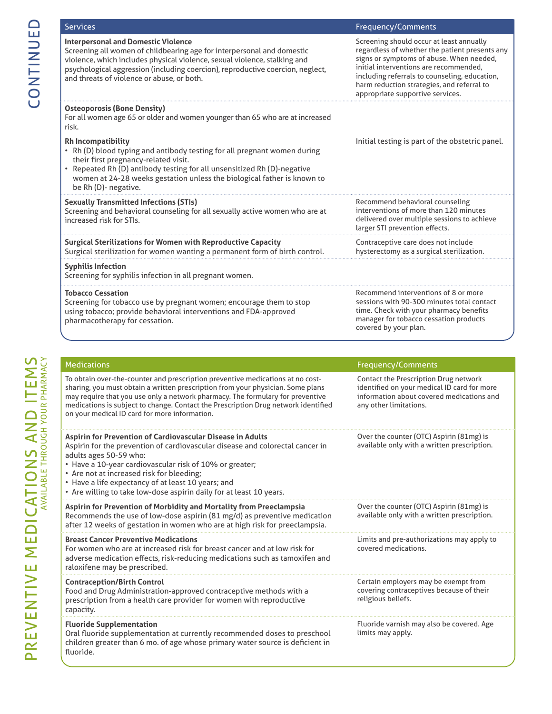| <b>Services</b>                                                                                                                                                                                                                                                                                                                                                                            | Frequency/Comments                                                                                                                                                                                                                                                                                                  |
|--------------------------------------------------------------------------------------------------------------------------------------------------------------------------------------------------------------------------------------------------------------------------------------------------------------------------------------------------------------------------------------------|---------------------------------------------------------------------------------------------------------------------------------------------------------------------------------------------------------------------------------------------------------------------------------------------------------------------|
| <b>Interpersonal and Domestic Violence</b><br>Screening all women of childbearing age for interpersonal and domestic<br>violence, which includes physical violence, sexual violence, stalking and<br>psychological aggression (including coercion), reproductive coercion, neglect,<br>and threats of violence or abuse, or both.                                                          | Screening should occur at least annually<br>regardless of whether the patient presents any<br>signs or symptoms of abuse. When needed,<br>initial interventions are recommended,<br>including referrals to counseling, education,<br>harm reduction strategies, and referral to<br>appropriate supportive services. |
| <b>Osteoporosis (Bone Density)</b><br>For all women age 65 or older and women younger than 65 who are at increased<br>risk.                                                                                                                                                                                                                                                                |                                                                                                                                                                                                                                                                                                                     |
| <b>Rh Incompatibility</b><br>• Rh (D) blood typing and antibody testing for all pregnant women during<br>their first pregnancy-related visit.<br>• Repeated Rh (D) antibody testing for all unsensitized Rh (D)-negative<br>women at 24-28 weeks gestation unless the biological father is known to<br>be Rh (D)- negative.                                                                | Initial testing is part of the obstetric panel.                                                                                                                                                                                                                                                                     |
| <b>Sexually Transmitted Infections (STIs)</b><br>Screening and behavioral counseling for all sexually active women who are at<br>increased risk for STIs.                                                                                                                                                                                                                                  | Recommend behavioral counseling<br>interventions of more than 120 minutes<br>delivered over multiple sessions to achieve<br>larger STI prevention effects.                                                                                                                                                          |
| <b>Surgical Sterilizations for Women with Reproductive Capacity</b><br>Surgical sterilization for women wanting a permanent form of birth control.                                                                                                                                                                                                                                         | Contraceptive care does not include<br>hysterectomy as a surgical sterilization.                                                                                                                                                                                                                                    |
| <b>Syphilis Infection</b><br>Screening for syphilis infection in all pregnant women.                                                                                                                                                                                                                                                                                                       |                                                                                                                                                                                                                                                                                                                     |
| <b>Tobacco Cessation</b><br>Screening for tobacco use by pregnant women; encourage them to stop<br>using tobacco; provide behavioral interventions and FDA-approved<br>pharmacotherapy for cessation.                                                                                                                                                                                      | Recommend interventions of 8 or more<br>sessions with 90-300 minutes total contact<br>time. Check with your pharmacy benefits<br>manager for tobacco cessation products<br>covered by your plan.                                                                                                                    |
|                                                                                                                                                                                                                                                                                                                                                                                            |                                                                                                                                                                                                                                                                                                                     |
| <b>Medications</b>                                                                                                                                                                                                                                                                                                                                                                         | <b>Frequency/Comments</b>                                                                                                                                                                                                                                                                                           |
| To obtain over-the-counter and prescription preventive medications at no cost-<br>sharing, you must obtain a written prescription from your physician. Some plans<br>may require that you use only a network pharmacy. The formulary for preventive<br>medications is subject to change. Contact the Prescription Drug network identified<br>on your medical ID card for more information. | Contact the Prescription Drug network<br>identified on your medical ID card for more<br>information about covered medications and<br>any other limitations.                                                                                                                                                         |
| Aspirin for Prevention of Cardiovascular Disease in Adults<br>Aspirin for the prevention of cardiovascular disease and colorectal cancer in<br>adults ages 50-59 who:<br>• Have a 10-year cardiovascular risk of 10% or greater;<br>• Are not at increased risk for bleeding;<br>$\epsilon$ Have a life expectancy of at least 10 years; and                                               | Over the counter (OTC) Aspirin (81mg) is<br>available only with a written prescription.                                                                                                                                                                                                                             |

• Have a life expectancy of at least 10 years; and • Are willing to take low-dose aspirin daily for at least 10 years.

**Aspirin for Prevention of Morbidity and Mortality from Preeclampsia** Recommends the use of low-dose aspirin (81 mg/d) as preventive medication after 12 weeks of gestation in women who are at high risk for preeclampsia. Over the counter (OTC) Aspirin (81mg) is available only with a written prescription. **Breast Cancer Preventive Medications** For women who are at increased risk for breast cancer and at low risk for adverse medication effects, risk-reducing medications such as tamoxifen and raloxifene may be prescribed. Limits and pre-authorizations may apply to covered medications. **Contraception/Birth Control** Food and Drug Administration-approved contraceptive methods with a prescription from a health care provider for women with reproductive capacity. Certain employers may be exempt from covering contraceptives because of their religious beliefs. **Fluoride Supplementation** Fluoride varnish may also be covered. Age limits may apply.

Oral fluoride supplementation at currently recommended doses to preschool children greater than 6 mo. of age whose primary water source is deficient in fluoride.